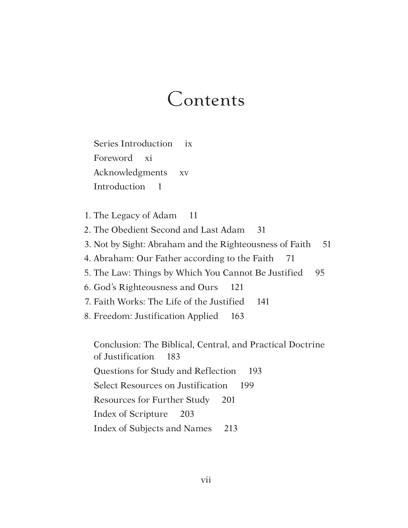# Contents

 Series Introduction ix Foreword xi Acknowledgments xv Introduction 1

1. The Legacy of Adam 11

2. The Obedient Second and Last Adam 31

- 3. Not by Sight: Abraham and the Righteousness of Faith 51
- 4. Abraham: Our Father according to the Faith 71
- 5. The Law: Things by Which You Cannot Be Justified 95
- 6. God's Righteousness and Ours 121

7. Faith Works: The Life of the Justified 141

8. Freedom: Justification Applied 163

 Conclusion: The Biblical, Central, and Practical Doctrine of Justification 183 Questions for Study and Reflection 193 Select Resources on Justification 199 Resources for Further Study 201 Index of Scripture 203 Index of Subjects and Names 213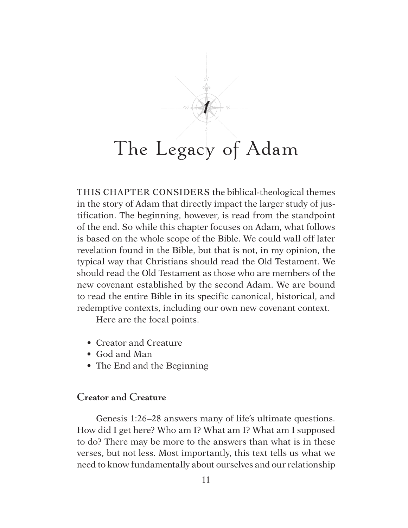THIS CHAPTER CONSIDERS the biblical-theological themes in the story of Adam that directly impact the larger study of justification. The beginning, however, is read from the standpoint of the end. So while this chapter focuses on Adam, what follows is based on the whole scope of the Bible. We could wall off later revelation found in the Bible, but that is not, in my opinion, the typical way that Christians should read the Old Testament. We should read the Old Testament as those who are members of the new covenant established by the second Adam. We are bound to read the entire Bible in its specific canonical, historical, and redemptive contexts, including our own new covenant context.

Here are the focal points.

- Creator and Creature
- God and Man
- The End and the Beginning

### **Creator and Creature**

Genesis 1:26–28 answers many of life's ultimate questions. How did I get here? Who am I? What am I? What am I supposed to do? There may be more to the answers than what is in these verses, but not less. Most importantly, this text tells us what we need to know fundamentally about ourselves and our relationship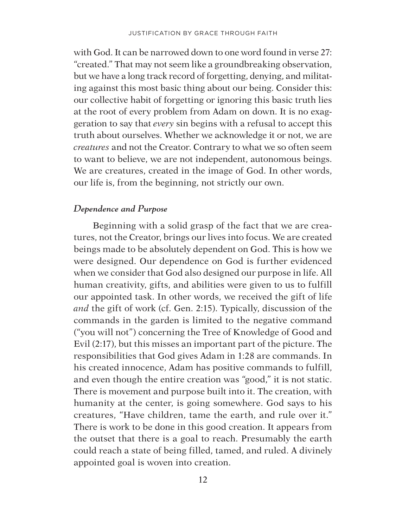with God. It can be narrowed down to one word found in verse 27: "created." That may not seem like a groundbreaking observation, but we have a long track record of forgetting, denying, and militating against this most basic thing about our being. Consider this: our collective habit of forgetting or ignoring this basic truth lies at the root of every problem from Adam on down. It is no exaggeration to say that *every* sin begins with a refusal to accept this truth about ourselves. Whether we acknowledge it or not, we are *creatures* and not the Creator. Contrary to what we so often seem to want to believe, we are not independent, autonomous beings. We are creatures, created in the image of God. In other words, our life is, from the beginning, not strictly our own.

#### *Dependence and Purpose*

Beginning with a solid grasp of the fact that we are creatures, not the Creator, brings our lives into focus. We are created beings made to be absolutely dependent on God. This is how we were designed. Our dependence on God is further evidenced when we consider that God also designed our purpose in life. All human creativity, gifts, and abilities were given to us to fulfill our appointed task. In other words, we received the gift of life *and* the gift of work (cf. Gen. 2:15). Typically, discussion of the commands in the garden is limited to the negative command ("you will not") concerning the Tree of Knowledge of Good and Evil (2:17), but this misses an important part of the picture. The responsibilities that God gives Adam in 1:28 are commands. In his created innocence, Adam has positive commands to fulfill, and even though the entire creation was "good," it is not static. There is movement and purpose built into it. The creation, with humanity at the center, is going somewhere. God says to his creatures, "Have children, tame the earth, and rule over it." There is work to be done in this good creation. It appears from the outset that there is a goal to reach. Presumably the earth could reach a state of being filled, tamed, and ruled. A divinely appointed goal is woven into creation.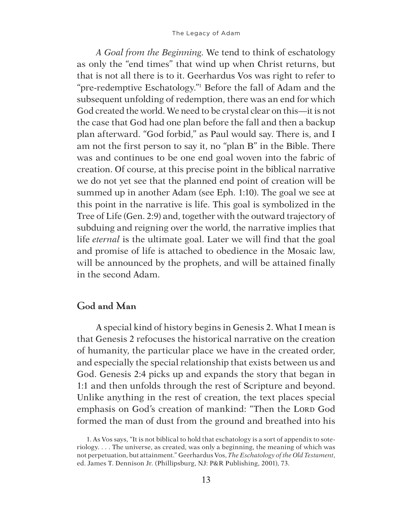*A Goal from the Beginning*. We tend to think of eschatology as only the "end times" that wind up when Christ returns, but that is not all there is to it. Geerhardus Vos was right to refer to "pre-redemptive Eschatology."1 Before the fall of Adam and the subsequent unfolding of redemption, there was an end for which God created the world. We need to be crystal clear on this—it is not the case that God had one plan before the fall and then a backup plan afterward. "God forbid," as Paul would say. There is, and I am not the first person to say it, no "plan B" in the Bible. There was and continues to be one end goal woven into the fabric of creation. Of course, at this precise point in the biblical narrative we do not yet see that the planned end point of creation will be summed up in another Adam (see Eph. 1:10). The goal we see at this point in the narrative is life. This goal is symbolized in the Tree of Life (Gen. 2:9) and, together with the outward trajectory of subduing and reigning over the world, the narrative implies that life *eternal* is the ultimate goal. Later we will find that the goal and promise of life is attached to obedience in the Mosaic law, will be announced by the prophets, and will be attained finally in the second Adam.

# **God and Man**

A special kind of history begins in Genesis 2. What I mean is that Genesis 2 refocuses the historical narrative on the creation of humanity, the particular place we have in the created order, and especially the special relationship that exists between us and God. Genesis 2:4 picks up and expands the story that began in 1:1 and then unfolds through the rest of Scripture and beyond. Unlike anything in the rest of creation, the text places special emphasis on God's creation of mankind: "Then the LORD God formed the man of dust from the ground and breathed into his

<sup>1.</sup> As Vos says, "It is not biblical to hold that eschatology is a sort of appendix to soteriology. . . . The universe, as created, was only a beginning, the meaning of which was not perpetuation, but attainment." Geerhardus Vos, *The Eschatology of the Old Testament*, ed. James T. Dennison Jr. (Phillipsburg, NJ: P&R Publishing, 2001), 73.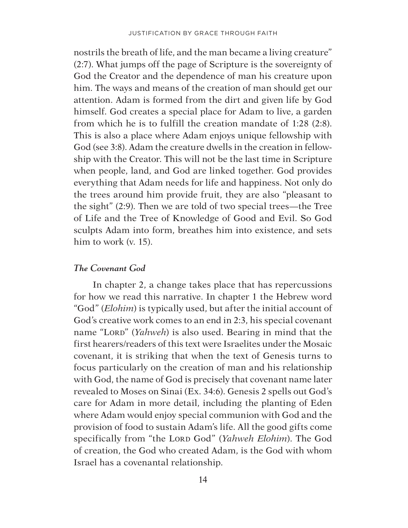nostrils the breath of life, and the man became a living creature" (2:7). What jumps off the page of Scripture is the sovereignty of God the Creator and the dependence of man his creature upon him. The ways and means of the creation of man should get our attention. Adam is formed from the dirt and given life by God himself. God creates a special place for Adam to live, a garden from which he is to fulfill the creation mandate of 1:28 (2:8). This is also a place where Adam enjoys unique fellowship with God (see 3:8). Adam the creature dwells in the creation in fellowship with the Creator. This will not be the last time in Scripture when people, land, and God are linked together. God provides everything that Adam needs for life and happiness. Not only do the trees around him provide fruit, they are also "pleasant to the sight" (2:9). Then we are told of two special trees—the Tree of Life and the Tree of Knowledge of Good and Evil. So God sculpts Adam into form, breathes him into existence, and sets him to work (v. 15).

#### *The Covenant God*

In chapter 2, a change takes place that has repercussions for how we read this narrative. In chapter 1 the Hebrew word "God" (*Elohim*) is typically used, but after the initial account of God's creative work comes to an end in 2:3, his special covenant name "LORD" (*Yahweh*) is also used. Bearing in mind that the first hearers/readers of this text were Israelites under the Mosaic covenant, it is striking that when the text of Genesis turns to focus particularly on the creation of man and his relationship with God, the name of God is precisely that covenant name later revealed to Moses on Sinai (Ex. 34:6). Genesis 2 spells out God's care for Adam in more detail, including the planting of Eden where Adam would enjoy special communion with God and the provision of food to sustain Adam's life. All the good gifts come specifically from "the LORD God" (*Yahweh Elohim*). The God of creation, the God who created Adam, is the God with whom Israel has a covenantal relationship.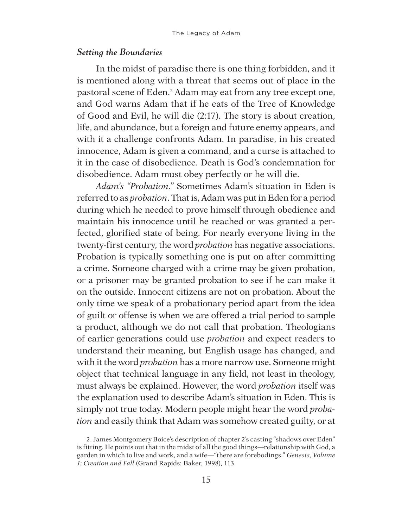#### *Setting the Boundaries*

In the midst of paradise there is one thing forbidden, and it is mentioned along with a threat that seems out of place in the pastoral scene of Eden. 2 Adam may eat from any tree except one, and God warns Adam that if he eats of the Tree of Knowledge of Good and Evil, he will die (2:17). The story is about creation, life, and abundance, but a foreign and future enemy appears, and with it a challenge confronts Adam. In paradise, in his created innocence, Adam is given a command, and a curse is attached to it in the case of disobedience. Death is God's condemnation for disobedience. Adam must obey perfectly or he will die.

*Adam's "Probation*.*"* Sometimes Adam's situation in Eden is referred to as *probation*. That is, Adam was put in Eden for a period during which he needed to prove himself through obedience and maintain his innocence until he reached or was granted a perfected, glorified state of being. For nearly everyone living in the twenty-first century, the word *probation* has negative associations. Probation is typically something one is put on after committing a crime. Someone charged with a crime may be given probation, or a prisoner may be granted probation to see if he can make it on the outside. Innocent citizens are not on probation. About the only time we speak of a probationary period apart from the idea of guilt or offense is when we are offered a trial period to sample a product, although we do not call that probation. Theologians of earlier generations could use *probation* and expect readers to understand their meaning, but English usage has changed, and with it the word *probation* has a more narrow use. Someone might object that technical language in any field, not least in theology, must always be explained. However, the word *probation* itself was the explanation used to describe Adam's situation in Eden. This is simply not true today. Modern people might hear the word *probation* and easily think that Adam was somehow created guilty, or at

<sup>2.</sup> James Montgomery Boice's description of chapter 2's casting "shadows over Eden" is fitting. He points out that in the midst of all the good things—relationship with God, a garden in which to live and work, and a wife—"there are forebodings." *Genesis, Volume 1: Creation and Fall* (Grand Rapids: Baker, 1998), 113.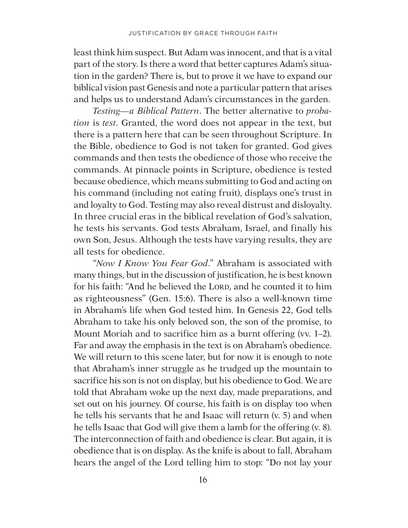least think him suspect. But Adam was innocent, and that is a vital part of the story. Is there a word that better captures Adam's situation in the garden? There is, but to prove it we have to expand our biblical vision past Genesis and note a particular pattern that arises and helps us to understand Adam's circumstances in the garden.

*Testing—a Biblical Pattern*. The better alternative to *probation* is *test*. Granted, the word does not appear in the text, but there is a pattern here that can be seen throughout Scripture. In the Bible, obedience to God is not taken for granted. God gives commands and then tests the obedience of those who receive the commands. At pinnacle points in Scripture, obedience is tested because obedience, which means submitting to God and acting on his command (including not eating fruit), displays one's trust in and loyalty to God. Testing may also reveal distrust and disloyalty. In three crucial eras in the biblical revelation of God's salvation, he tests his servants. God tests Abraham, Israel, and finally his own Son, Jesus. Although the tests have varying results, they are all tests for obedience.

"*Now I Know You Fear God*." Abraham is associated with many things, but in the discussion of justification, he is best known for his faith: "And he believed the LORD, and he counted it to him as righteousness" (Gen. 15:6). There is also a well-known time in Abraham's life when God tested him. In Genesis 22, God tells Abraham to take his only beloved son, the son of the promise, to Mount Moriah and to sacrifice him as a burnt offering (vv. 1–2). Far and away the emphasis in the text is on Abraham's obedience. We will return to this scene later, but for now it is enough to note that Abraham's inner struggle as he trudged up the mountain to sacrifice his son is not on display, but his obedience to God. We are told that Abraham woke up the next day, made preparations, and set out on his journey. Of course, his faith is on display too when he tells his servants that he and Isaac will return (v. 5) and when he tells Isaac that God will give them a lamb for the offering (v. 8). The interconnection of faith and obedience is clear. But again, it is obedience that is on display. As the knife is about to fall, Abraham hears the angel of the Lord telling him to stop: "Do not lay your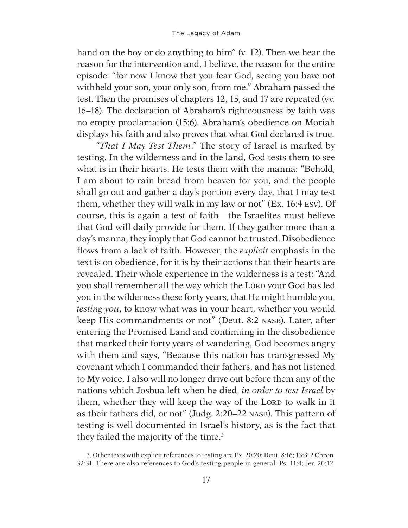hand on the boy or do anything to him" (v. 12). Then we hear the reason for the intervention and, I believe, the reason for the entire episode: "for now I know that you fear God, seeing you have not withheld your son, your only son, from me." Abraham passed the test. Then the promises of chapters 12, 15, and 17 are repeated (vv. 16–18). The declaration of Abraham's righteousness by faith was no empty proclamation (15:6). Abraham's obedience on Moriah displays his faith and also proves that what God declared is true.

"*That I May Test Them*." The story of Israel is marked by testing. In the wilderness and in the land, God tests them to see what is in their hearts. He tests them with the manna: "Behold, I am about to rain bread from heaven for you, and the people shall go out and gather a day's portion every day, that I may test them, whether they will walk in my law or not" (Ex. 16:4 ESV). Of course, this is again a test of faith—the Israelites must believe that God will daily provide for them. If they gather more than a day's manna, they imply that God cannot be trusted. Disobedience flows from a lack of faith. However, the *explicit* emphasis in the text is on obedience, for it is by their actions that their hearts are revealed. Their whole experience in the wilderness is a test: "And you shall remember all the way which the LORD your God has led you in the wilderness these forty years, that He might humble you, *testing you*, to know what was in your heart, whether you would keep His commandments or not" (Deut. 8:2 NASB). Later, after entering the Promised Land and continuing in the disobedience that marked their forty years of wandering, God becomes angry with them and says, "Because this nation has transgressed My covenant which I commanded their fathers, and has not listened to My voice, I also will no longer drive out before them any of the nations which Joshua left when he died, *in order to test Israel* by them, whether they will keep the way of the LORD to walk in it as their fathers did, or not" (Judg. 2:20–22 NASB). This pattern of testing is well documented in Israel's history, as is the fact that they failed the majority of the time.<sup>3</sup>

<sup>3.</sup> Other texts with explicit references to testing are Ex. 20:20; Deut. 8:16; 13:3; 2 Chron. 32:31. There are also references to God's testing people in general: Ps. 11:4; Jer. 20:12.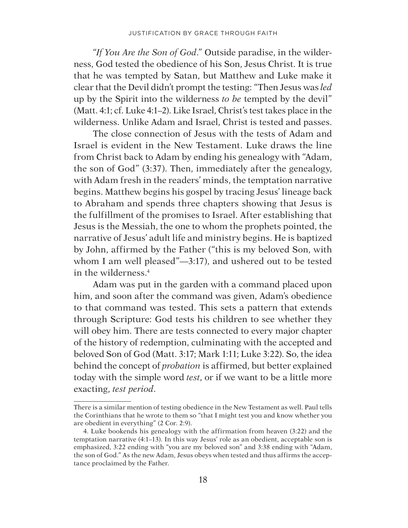"*If You Are the Son of God*." Outside paradise, in the wilderness, God tested the obedience of his Son, Jesus Christ. It is true that he was tempted by Satan, but Matthew and Luke make it clear that the Devil didn't prompt the testing: "Then Jesus was *led* up by the Spirit into the wilderness *to be* tempted by the devil" (Matt. 4:1; cf. Luke 4:1–2). Like Israel, Christ's test takes place in the wilderness. Unlike Adam and Israel, Christ is tested and passes.

The close connection of Jesus with the tests of Adam and Israel is evident in the New Testament. Luke draws the line from Christ back to Adam by ending his genealogy with "Adam, the son of God" (3:37). Then, immediately after the genealogy, with Adam fresh in the readers' minds, the temptation narrative begins. Matthew begins his gospel by tracing Jesus' lineage back to Abraham and spends three chapters showing that Jesus is the fulfillment of the promises to Israel. After establishing that Jesus is the Messiah, the one to whom the prophets pointed, the narrative of Jesus' adult life and ministry begins. He is baptized by John, affirmed by the Father ("this is my beloved Son, with whom I am well pleased"—3:17), and ushered out to be tested in the wilderness.4

Adam was put in the garden with a command placed upon him, and soon after the command was given, Adam's obedience to that command was tested. This sets a pattern that extends through Scripture: God tests his children to see whether they will obey him. There are tests connected to every major chapter of the history of redemption, culminating with the accepted and beloved Son of God (Matt. 3:17; Mark 1:11; Luke 3:22). So, the idea behind the concept of *probation* is affirmed, but better explained today with the simple word *test*, or if we want to be a little more exacting, *test period*.

There is a similar mention of testing obedience in the New Testament as well. Paul tells the Corinthians that he wrote to them so "that I might test you and know whether you are obedient in everything" (2 Cor. 2:9).

<sup>4.</sup> Luke bookends his genealogy with the affirmation from heaven (3:22) and the temptation narrative (4:1–13). In this way Jesus' role as an obedient, acceptable son is emphasized, 3:22 ending with "you are my beloved son" and 3:38 ending with "Adam, the son of God." As the new Adam, Jesus obeys when tested and thus affirms the acceptance proclaimed by the Father.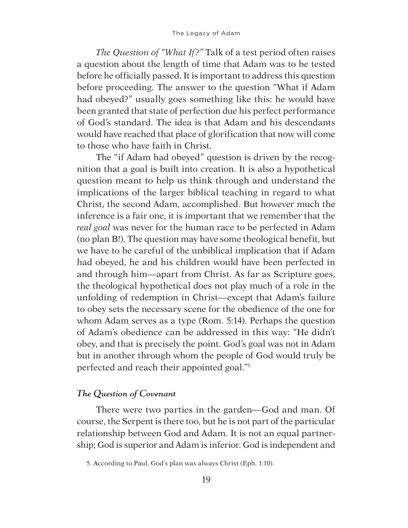*The Question of "What If?"* Talk of a test period often raises a question about the length of time that Adam was to be tested before he officially passed. It is important to address this question before proceeding. The answer to the question "What if Adam had obeyed?" usually goes something like this: he would have been granted that state of perfection due his perfect performance of God's standard. The idea is that Adam and his descendants would have reached that place of glorification that now will come to those who have faith in Christ.

The "if Adam had obeyed" question is driven by the recognition that a goal is built into creation. It is also a hypothetical question meant to help us think through and understand the implications of the larger biblical teaching in regard to what Christ, the second Adam, accomplished. But however much the inference is a fair one, it is important that we remember that the *real goal* was never for the human race to be perfected in Adam (no plan B!). The question may have some theological benefit, but we have to be careful of the unbiblical implication that if Adam had obeyed, he and his children would have been perfected in and through him—apart from Christ. As far as Scripture goes, the theological hypothetical does not play much of a role in the unfolding of redemption in Christ—except that Adam's failure to obey sets the necessary scene for the obedience of the one for whom Adam serves as a type (Rom. 5:14). Perhaps the question of Adam's obedience can be addressed in this way: "He didn't obey, and that is precisely the point. God's goal was not in Adam but in another through whom the people of God would truly be perfected and reach their appointed goal."5

## *The Question of Covenant*

There were two parties in the garden—God and man. Of course, the Serpent is there too, but he is not part of the particular relationship between God and Adam. It is not an equal partnership; God is superior and Adam is inferior. God is independent and

<sup>5.</sup> According to Paul, God's plan was always Christ (Eph. 1:10).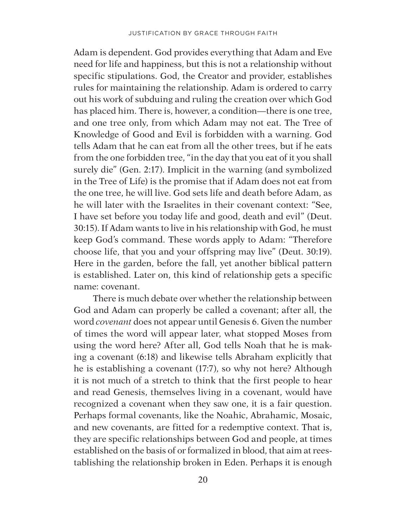Adam is dependent. God provides everything that Adam and Eve need for life and happiness, but this is not a relationship without specific stipulations. God, the Creator and provider, establishes rules for maintaining the relationship. Adam is ordered to carry out his work of subduing and ruling the creation over which God has placed him. There is, however, a condition—there is one tree, and one tree only, from which Adam may not eat. The Tree of Knowledge of Good and Evil is forbidden with a warning. God tells Adam that he can eat from all the other trees, but if he eats from the one forbidden tree, "in the day that you eat of it you shall surely die" (Gen. 2:17). Implicit in the warning (and symbolized in the Tree of Life) is the promise that if Adam does not eat from the one tree, he will live. God sets life and death before Adam, as he will later with the Israelites in their covenant context: "See, I have set before you today life and good, death and evil" (Deut. 30:15). If Adam wants to live in his relationship with God, he must keep God's command. These words apply to Adam: "Therefore choose life, that you and your offspring may live" (Deut. 30:19). Here in the garden, before the fall, yet another biblical pattern is established. Later on, this kind of relationship gets a specific name: covenant.

There is much debate over whether the relationship between God and Adam can properly be called a covenant; after all, the word *covenant* does not appear until Genesis 6. Given the number of times the word will appear later, what stopped Moses from using the word here? After all, God tells Noah that he is making a covenant (6:18) and likewise tells Abraham explicitly that he is establishing a covenant (17:7), so why not here? Although it is not much of a stretch to think that the first people to hear and read Genesis, themselves living in a covenant, would have recognized a covenant when they saw one, it is a fair question. Perhaps formal covenants, like the Noahic, Abrahamic, Mosaic, and new covenants, are fitted for a redemptive context. That is, they are specific relationships between God and people, at times established on the basis of or formalized in blood, that aim at reestablishing the relationship broken in Eden. Perhaps it is enough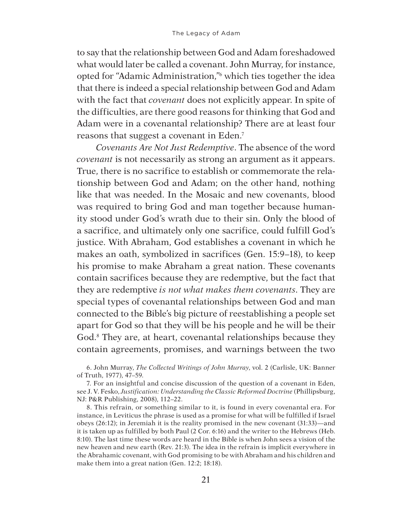to say that the relationship between God and Adam foreshadowed what would later be called a covenant. John Murray, for instance, opted for "Adamic Administration,"6 which ties together the idea that there is indeed a special relationship between God and Adam with the fact that *covenant* does not explicitly appear. In spite of the difficulties, are there good reasons for thinking that God and Adam were in a covenantal relationship? There are at least four reasons that suggest a covenant in Eden. 7

*Covenants Are Not Just Redemptive*. The absence of the word *covenant* is not necessarily as strong an argument as it appears. True, there is no sacrifice to establish or commemorate the relationship between God and Adam; on the other hand, nothing like that was needed. In the Mosaic and new covenants, blood was required to bring God and man together because humanity stood under God's wrath due to their sin. Only the blood of a sacrifice, and ultimately only one sacrifice, could fulfill God's justice. With Abraham, God establishes a covenant in which he makes an oath, symbolized in sacrifices (Gen. 15:9–18), to keep his promise to make Abraham a great nation. These covenants contain sacrifices because they are redemptive, but the fact that they are redemptive *is not what makes them covenants*. They are special types of covenantal relationships between God and man connected to the Bible's big picture of reestablishing a people set apart for God so that they will be his people and he will be their God.<sup>8</sup> They are, at heart, covenantal relationships because they contain agreements, promises, and warnings between the two

6. John Murray, *The Collected Writings of John Murray*, vol. 2 (Carlisle, UK: Banner of Truth, 1977), 47–59.

7. For an insightful and concise discussion of the question of a covenant in Eden, see J. V. Fesko, *Justification: Understanding the Classic Reformed Doctrine* (Phillipsburg, NJ: P&R Publishing, 2008), 112–22.

8. This refrain, or something similar to it, is found in every covenantal era. For instance, in Leviticus the phrase is used as a promise for what will be fulfilled if Israel obeys (26:12); in Jeremiah it is the reality promised in the new covenant (31:33)—and it is taken up as fulfilled by both Paul (2 Cor. 6:16) and the writer to the Hebrews (Heb. 8:10). The last time these words are heard in the Bible is when John sees a vision of the new heaven and new earth (Rev. 21:3). The idea in the refrain is implicit everywhere in the Abrahamic covenant, with God promising to be with Abraham and his children and make them into a great nation (Gen. 12:2; 18:18).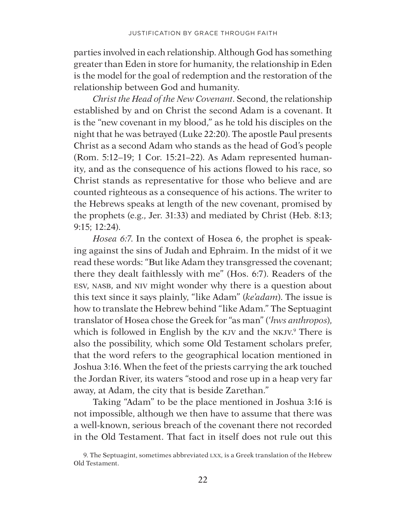parties involved in each relationship. Although God has something greater than Eden in store for humanity, the relationship in Eden is the model for the goal of redemption and the restoration of the relationship between God and humanity.

*Christ the Head of the New Covenant*. Second, the relationship established by and on Christ the second Adam is a covenant. It is the "new covenant in my blood," as he told his disciples on the night that he was betrayed (Luke 22:20). The apostle Paul presents Christ as a second Adam who stands as the head of God's people (Rom. 5:12–19; 1 Cor. 15:21–22). As Adam represented humanity, and as the consequence of his actions flowed to his race, so Christ stands as representative for those who believe and are counted righteous as a consequence of his actions. The writer to the Hebrews speaks at length of the new covenant, promised by the prophets (e.g., Jer. 31:33) and mediated by Christ (Heb. 8:13; 9:15; 12:24).

*Hosea 6:7*. In the context of Hosea 6, the prophet is speaking against the sins of Judah and Ephraim. In the midst of it we read these words: "But like Adam they transgressed the covenant; there they dealt faithlessly with me" (Hos. 6:7). Readers of the ESV, NASB, and NIV might wonder why there is a question about this text since it says plainly, "like Adam" (*ke'adam*). The issue is how to translate the Hebrew behind "like Adam." The Septuagint translator of Hosea chose the Greek for "as man" (*'hws anthropos*), which is followed in English by the KJV and the NKJV.<sup>9</sup> There is also the possibility, which some Old Testament scholars prefer, that the word refers to the geographical location mentioned in Joshua 3:16. When the feet of the priests carrying the ark touched the Jordan River, its waters "stood and rose up in a heap very far away, at Adam, the city that is beside Zarethan."

Taking "Adam" to be the place mentioned in Joshua 3:16 is not impossible, although we then have to assume that there was a well-known, serious breach of the covenant there not recorded in the Old Testament. That fact in itself does not rule out this

<sup>9.</sup> The Septuagint, sometimes abbreviated LXX, is a Greek translation of the Hebrew Old Testament.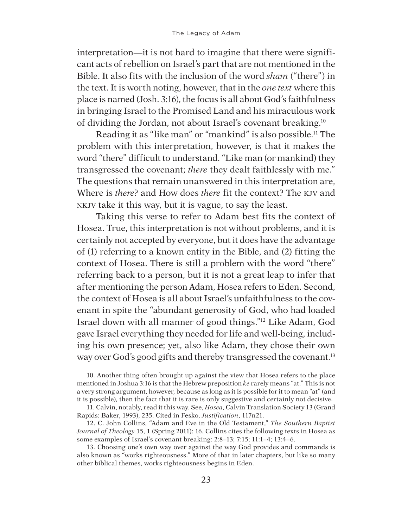interpretation—it is not hard to imagine that there were significant acts of rebellion on Israel's part that are not mentioned in the Bible. It also fits with the inclusion of the word *sham* ("there") in the text. It is worth noting, however, that in the *one text* where this place is named (Josh. 3:16), the focus is all about God's faithfulness in bringing Israel to the Promised Land and his miraculous work of dividing the Jordan, not about Israel's covenant breaking.10

Reading it as "like man" or "mankind" is also possible.11 The problem with this interpretation, however, is that it makes the word "there" difficult to understand. "Like man (or mankind) they transgressed the covenant; *there* they dealt faithlessly with me." The questions that remain unanswered in this interpretation are, Where is *there*? and How does *there* fit the context? The KJV and NKJV take it this way, but it is vague, to say the least.

Taking this verse to refer to Adam best fits the context of Hosea. True, this interpretation is not without problems, and it is certainly not accepted by everyone, but it does have the advantage of (1) referring to a known entity in the Bible, and (2) fitting the context of Hosea. There is still a problem with the word "there" referring back to a person, but it is not a great leap to infer that after mentioning the person Adam, Hosea refers to Eden. Second, the context of Hosea is all about Israel's unfaithfulness to the covenant in spite the "abundant generosity of God, who had loaded Israel down with all manner of good things."12 Like Adam, God gave Israel everything they needed for life and well-being, including his own presence; yet, also like Adam, they chose their own way over God's good gifts and thereby transgressed the covenant.<sup>13</sup>

10. Another thing often brought up against the view that Hosea refers to the place mentioned in Joshua 3:16 is that the Hebrew preposition *ke* rarely means "at." This is not a very strong argument, however, because as long as it is possible for it to mean "at" (and it is possible), then the fact that it is rare is only suggestive and certainly not decisive.

11. Calvin, notably, read it this way. See, *Hosea*, Calvin Translation Society 13 (Grand Rapids: Baker, 1993), 235. Cited in Fesko, *Justification*, 117n21.

12. C. John Collins, "Adam and Eve in the Old Testament," *The Southern Baptist Journal of Theology* 15, 1 (Spring 2011): 16. Collins cites the following texts in Hosea as some examples of Israel's covenant breaking: 2:8–13; 7:15; 11:1–4; 13:4–6.

13. Choosing one's own way over against the way God provides and commands is also known as "works righteousness." More of that in later chapters, but like so many other biblical themes, works righteousness begins in Eden.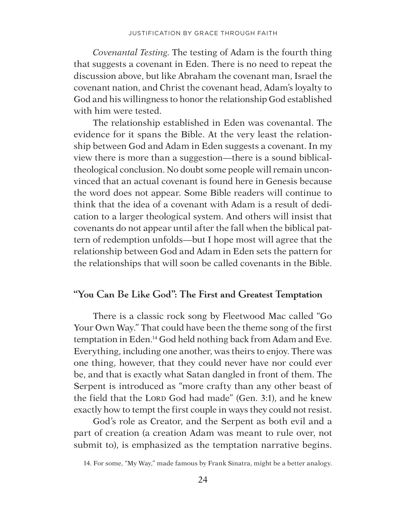*Covenantal Testing*. The testing of Adam is the fourth thing that suggests a covenant in Eden. There is no need to repeat the discussion above, but like Abraham the covenant man, Israel the covenant nation, and Christ the covenant head, Adam's loyalty to God and his willingness to honor the relationship God established with him were tested.

The relationship established in Eden was covenantal. The evidence for it spans the Bible. At the very least the relationship between God and Adam in Eden suggests a covenant. In my view there is more than a suggestion—there is a sound biblicaltheological conclusion. No doubt some people will remain unconvinced that an actual covenant is found here in Genesis because the word does not appear. Some Bible readers will continue to think that the idea of a covenant with Adam is a result of dedication to a larger theological system. And others will insist that covenants do not appear until after the fall when the biblical pattern of redemption unfolds—but I hope most will agree that the relationship between God and Adam in Eden sets the pattern for the relationships that will soon be called covenants in the Bible.

#### **"You Can Be Like God": The First and Greatest Temptation**

There is a classic rock song by Fleetwood Mac called "Go Your Own Way." That could have been the theme song of the first temptation in Eden. 14 God held nothing back from Adam and Eve. Everything, including one another, was theirs to enjoy. There was one thing, however, that they could never have nor could ever be, and that is exactly what Satan dangled in front of them. The Serpent is introduced as "more crafty than any other beast of the field that the LORD God had made" (Gen. 3:1), and he knew exactly how to tempt the first couple in ways they could not resist.

God's role as Creator, and the Serpent as both evil and a part of creation (a creation Adam was meant to rule over, not submit to), is emphasized as the temptation narrative begins.

<sup>14.</sup> For some, "My Way," made famous by Frank Sinatra, might be a better analogy.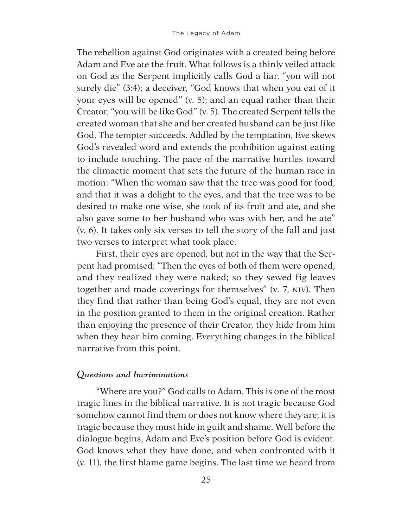The rebellion against God originates with a created being before Adam and Eve ate the fruit. What follows is a thinly veiled attack on God as the Serpent implicitly calls God a liar, "you will not surely die" (3:4); a deceiver, "God knows that when you eat of it your eyes will be opened" (v. 5); and an equal rather than their Creator, "you will be like God" (v. 5). The created Serpent tells the created woman that she and her created husband can be just like God. The tempter succeeds. Addled by the temptation, Eve skews God's revealed word and extends the prohibition against eating to include touching. The pace of the narrative hurtles toward the climactic moment that sets the future of the human race in motion: "When the woman saw that the tree was good for food, and that it was a delight to the eyes, and that the tree was to be desired to make one wise, she took of its fruit and ate, and she also gave some to her husband who was with her, and he ate" (v. 6). It takes only six verses to tell the story of the fall and just two verses to interpret what took place.

First, their eyes are opened, but not in the way that the Serpent had promised: "Then the eyes of both of them were opened, and they realized they were naked; so they sewed fig leaves together and made coverings for themselves" (v. 7, NIV). Then they find that rather than being God's equal, they are not even in the position granted to them in the original creation. Rather than enjoying the presence of their Creator, they hide from him when they hear him coming. Everything changes in the biblical narrative from this point.

#### *Questions and Incriminations*

"Where are you?" God calls to Adam. This is one of the most tragic lines in the biblical narrative. It is not tragic because God somehow cannot find them or does not know where they are; it is tragic because they must hide in guilt and shame. Well before the dialogue begins, Adam and Eve's position before God is evident. God knows what they have done, and when confronted with it (v. 11), the first blame game begins. The last time we heard from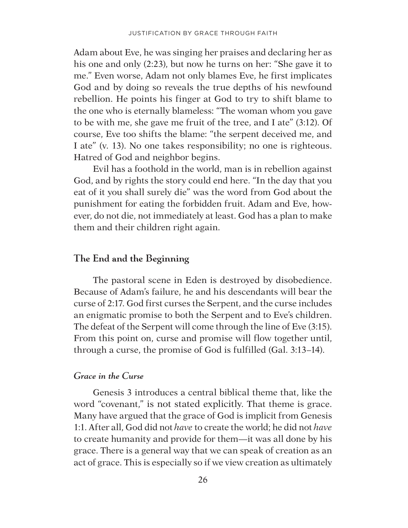Adam about Eve, he was singing her praises and declaring her as his one and only (2:23), but now he turns on her: "She gave it to me." Even worse, Adam not only blames Eve, he first implicates God and by doing so reveals the true depths of his newfound rebellion. He points his finger at God to try to shift blame to the one who is eternally blameless: "The woman whom you gave to be with me, she gave me fruit of the tree, and I ate" (3:12). Of course, Eve too shifts the blame: "the serpent deceived me, and I ate" (v. 13). No one takes responsibility; no one is righteous. Hatred of God and neighbor begins.

Evil has a foothold in the world, man is in rebellion against God, and by rights the story could end here. "In the day that you eat of it you shall surely die" was the word from God about the punishment for eating the forbidden fruit. Adam and Eve, however, do not die, not immediately at least. God has a plan to make them and their children right again.

#### **The End and the Beginning**

The pastoral scene in Eden is destroyed by disobedience. Because of Adam's failure, he and his descendants will bear the curse of 2:17. God first curses the Serpent, and the curse includes an enigmatic promise to both the Serpent and to Eve's children. The defeat of the Serpent will come through the line of Eve (3:15). From this point on, curse and promise will flow together until, through a curse, the promise of God is fulfilled (Gal. 3:13–14).

#### *Grace in the Curse*

Genesis 3 introduces a central biblical theme that, like the word "covenant," is not stated explicitly. That theme is grace. Many have argued that the grace of God is implicit from Genesis 1:1. After all, God did not *have* to create the world; he did not *have* to create humanity and provide for them—it was all done by his grace. There is a general way that we can speak of creation as an act of grace. This is especially so if we view creation as ultimately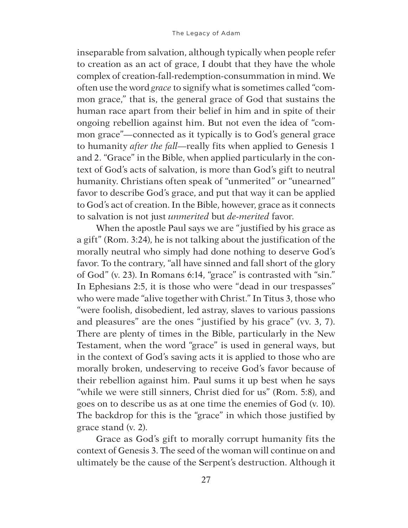inseparable from salvation, although typically when people refer to creation as an act of grace, I doubt that they have the whole complex of creation-fall-redemption-consummation in mind. We often use the word *grace* to signify what is sometimes called "common grace," that is, the general grace of God that sustains the human race apart from their belief in him and in spite of their ongoing rebellion against him. But not even the idea of "common grace"—connected as it typically is to God's general grace to humanity *after the fall*—really fits when applied to Genesis 1 and 2. "Grace" in the Bible, when applied particularly in the context of God's acts of salvation, is more than God's gift to neutral humanity. Christians often speak of "unmerited" or "unearned" favor to describe God's grace, and put that way it can be applied to God's act of creation. In the Bible, however, grace as it connects to salvation is not just *unmerited* but *de-merited* favor.

When the apostle Paul says we are "justified by his grace as a gift" (Rom. 3:24), he is not talking about the justification of the morally neutral who simply had done nothing to deserve God's favor. To the contrary, "all have sinned and fall short of the glory of God" (v. 23). In Romans 6:14, "grace" is contrasted with "sin." In Ephesians 2:5, it is those who were "dead in our trespasses" who were made "alive together with Christ." In Titus 3, those who "were foolish, disobedient, led astray, slaves to various passions and pleasures" are the ones "justified by his grace" (vv. 3, 7). There are plenty of times in the Bible, particularly in the New Testament, when the word "grace" is used in general ways, but in the context of God's saving acts it is applied to those who are morally broken, undeserving to receive God's favor because of their rebellion against him. Paul sums it up best when he says "while we were still sinners, Christ died for us" (Rom. 5:8), and goes on to describe us as at one time the enemies of God (v. 10). The backdrop for this is the "grace" in which those justified by grace stand (v. 2).

Grace as God's gift to morally corrupt humanity fits the context of Genesis 3. The seed of the woman will continue on and ultimately be the cause of the Serpent's destruction. Although it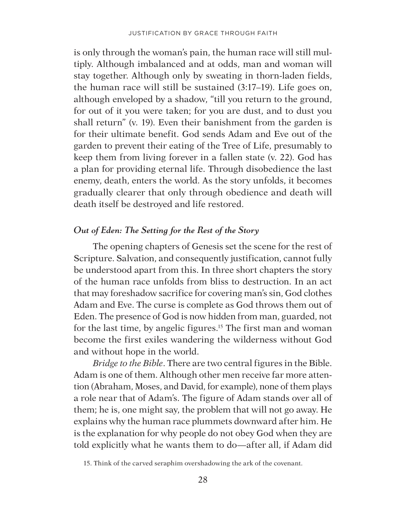is only through the woman's pain, the human race will still multiply. Although imbalanced and at odds, man and woman will stay together. Although only by sweating in thorn-laden fields, the human race will still be sustained (3:17–19). Life goes on, although enveloped by a shadow, "till you return to the ground, for out of it you were taken; for you are dust, and to dust you shall return" (v. 19). Even their banishment from the garden is for their ultimate benefit. God sends Adam and Eve out of the garden to prevent their eating of the Tree of Life, presumably to keep them from living forever in a fallen state (v. 22). God has a plan for providing eternal life. Through disobedience the last enemy, death, enters the world. As the story unfolds, it becomes gradually clearer that only through obedience and death will death itself be destroyed and life restored.

### *Out of Eden: The Setting for the Rest of the Story*

The opening chapters of Genesis set the scene for the rest of Scripture. Salvation, and consequently justification, cannot fully be understood apart from this. In three short chapters the story of the human race unfolds from bliss to destruction. In an act that may foreshadow sacrifice for covering man's sin, God clothes Adam and Eve. The curse is complete as God throws them out of Eden. The presence of God is now hidden from man, guarded, not for the last time, by angelic figures.<sup>15</sup> The first man and woman become the first exiles wandering the wilderness without God and without hope in the world.

*Bridge to the Bible*. There are two central figures in the Bible. Adam is one of them. Although other men receive far more attention (Abraham, Moses, and David, for example), none of them plays a role near that of Adam's. The figure of Adam stands over all of them; he is, one might say, the problem that will not go away. He explains why the human race plummets downward after him. He is the explanation for why people do not obey God when they are told explicitly what he wants them to do—after all, if Adam did

<sup>15.</sup> Think of the carved seraphim overshadowing the ark of the covenant.